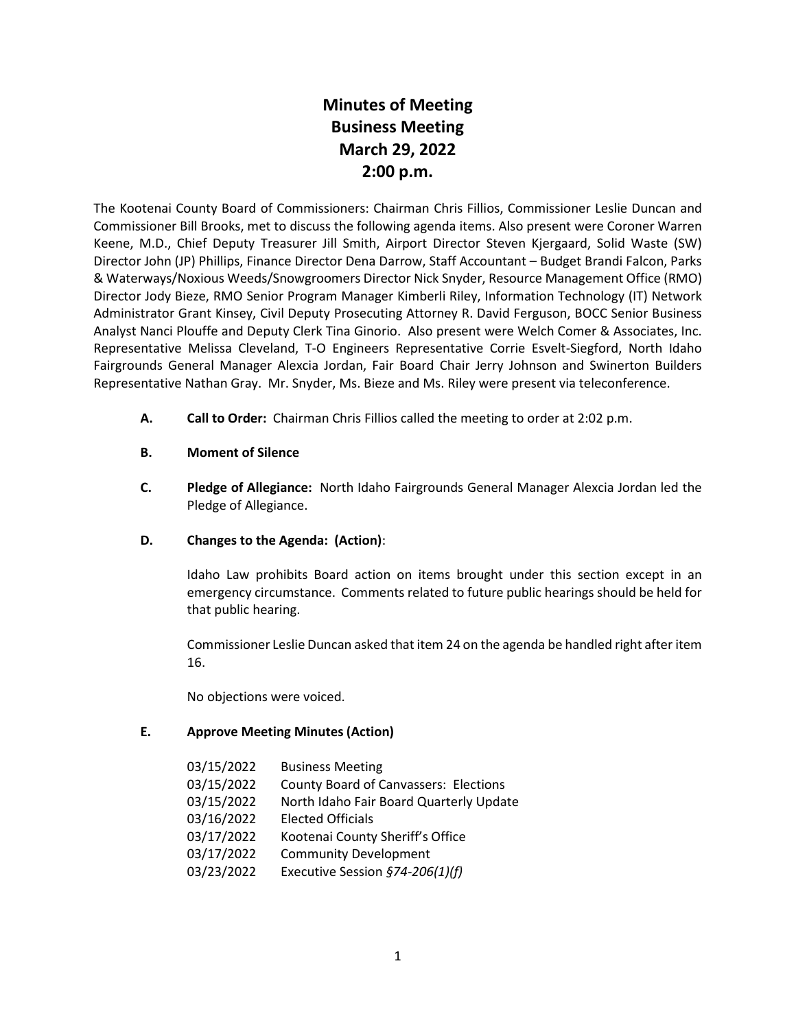# **Minutes of Meeting Business Meeting March 29, 2022 2:00 p.m.**

The Kootenai County Board of Commissioners: Chairman Chris Fillios, Commissioner Leslie Duncan and Commissioner Bill Brooks, met to discuss the following agenda items. Also present were Coroner Warren Keene, M.D., Chief Deputy Treasurer Jill Smith, Airport Director Steven Kjergaard, Solid Waste (SW) Director John (JP) Phillips, Finance Director Dena Darrow, Staff Accountant – Budget Brandi Falcon, Parks & Waterways/Noxious Weeds/Snowgroomers Director Nick Snyder, Resource Management Office (RMO) Director Jody Bieze, RMO Senior Program Manager Kimberli Riley, Information Technology (IT) Network Administrator Grant Kinsey, Civil Deputy Prosecuting Attorney R. David Ferguson, BOCC Senior Business Analyst Nanci Plouffe and Deputy Clerk Tina Ginorio. Also present were Welch Comer & Associates, Inc. Representative Melissa Cleveland, T-O Engineers Representative Corrie Esvelt-Siegford, North Idaho Fairgrounds General Manager Alexcia Jordan, Fair Board Chair Jerry Johnson and Swinerton Builders Representative Nathan Gray. Mr. Snyder, Ms. Bieze and Ms. Riley were present via teleconference.

**A. Call to Order:** Chairman Chris Fillios called the meeting to order at 2:02 p.m.

## **B. Moment of Silence**

**C. Pledge of Allegiance:** North Idaho Fairgrounds General Manager Alexcia Jordan led the Pledge of Allegiance.

#### **D. Changes to the Agenda: (Action)**:

Idaho Law prohibits Board action on items brought under this section except in an emergency circumstance. Comments related to future public hearings should be held for that public hearing.

Commissioner Leslie Duncan asked that item 24 on the agenda be handled right after item 16.

No objections were voiced.

#### **E. Approve Meeting Minutes (Action)**

| 03/15/2022 | <b>Business Meeting</b>                      |
|------------|----------------------------------------------|
| 03/15/2022 | <b>County Board of Canvassers: Elections</b> |
| 03/15/2022 | North Idaho Fair Board Quarterly Update      |
| 03/16/2022 | <b>Elected Officials</b>                     |
| 03/17/2022 | Kootenai County Sheriff's Office             |
| 03/17/2022 | <b>Community Development</b>                 |
| 03/23/2022 | Executive Session §74-206(1)(f)              |
|            |                                              |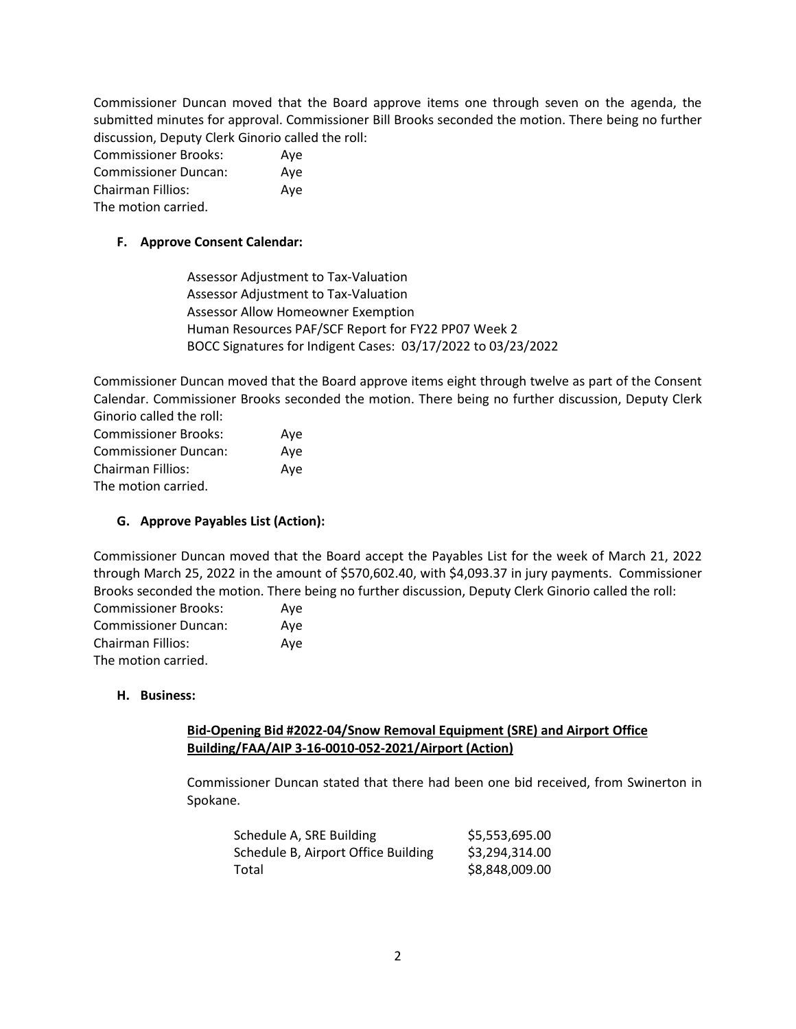Commissioner Duncan moved that the Board approve items one through seven on the agenda, the submitted minutes for approval. Commissioner Bill Brooks seconded the motion. There being no further discussion, Deputy Clerk Ginorio called the roll:

| <b>Commissioner Brooks:</b> | Aye |
|-----------------------------|-----|
| <b>Commissioner Duncan:</b> | Ave |
| <b>Chairman Fillios:</b>    | Ave |
| The motion carried.         |     |

#### **F. Approve Consent Calendar:**

Assessor Adjustment to Tax-Valuation Assessor Adjustment to Tax-Valuation Assessor Allow Homeowner Exemption Human Resources PAF/SCF Report for FY22 PP07 Week 2 BOCC Signatures for Indigent Cases: 03/17/2022 to 03/23/2022

Commissioner Duncan moved that the Board approve items eight through twelve as part of the Consent Calendar. Commissioner Brooks seconded the motion. There being no further discussion, Deputy Clerk Ginorio called the roll:

| <b>Commissioner Brooks:</b> | Ave |
|-----------------------------|-----|
| <b>Commissioner Duncan:</b> | Ave |
| Chairman Fillios:           | Ave |
| The motion carried.         |     |

#### **G. Approve Payables List (Action):**

Commissioner Duncan moved that the Board accept the Payables List for the week of March 21, 2022 through March 25, 2022 in the amount of \$570,602.40, with \$4,093.37 in jury payments. Commissioner Brooks seconded the motion. There being no further discussion, Deputy Clerk Ginorio called the roll:

| <b>Commissioner Brooks:</b> | Ave |
|-----------------------------|-----|
| <b>Commissioner Duncan:</b> | Aye |
| <b>Chairman Fillios:</b>    | Aye |
| The motion carried.         |     |

#### **H. Business:**

#### **Bid-Opening Bid #2022-04/Snow Removal Equipment (SRE) and Airport Office Building/FAA/AIP 3-16-0010-052-2021/Airport (Action)**

Commissioner Duncan stated that there had been one bid received, from Swinerton in Spokane.

| Schedule A, SRE Building            | \$5,553,695.00 |
|-------------------------------------|----------------|
| Schedule B, Airport Office Building | \$3,294,314.00 |
| Total                               | \$8,848,009.00 |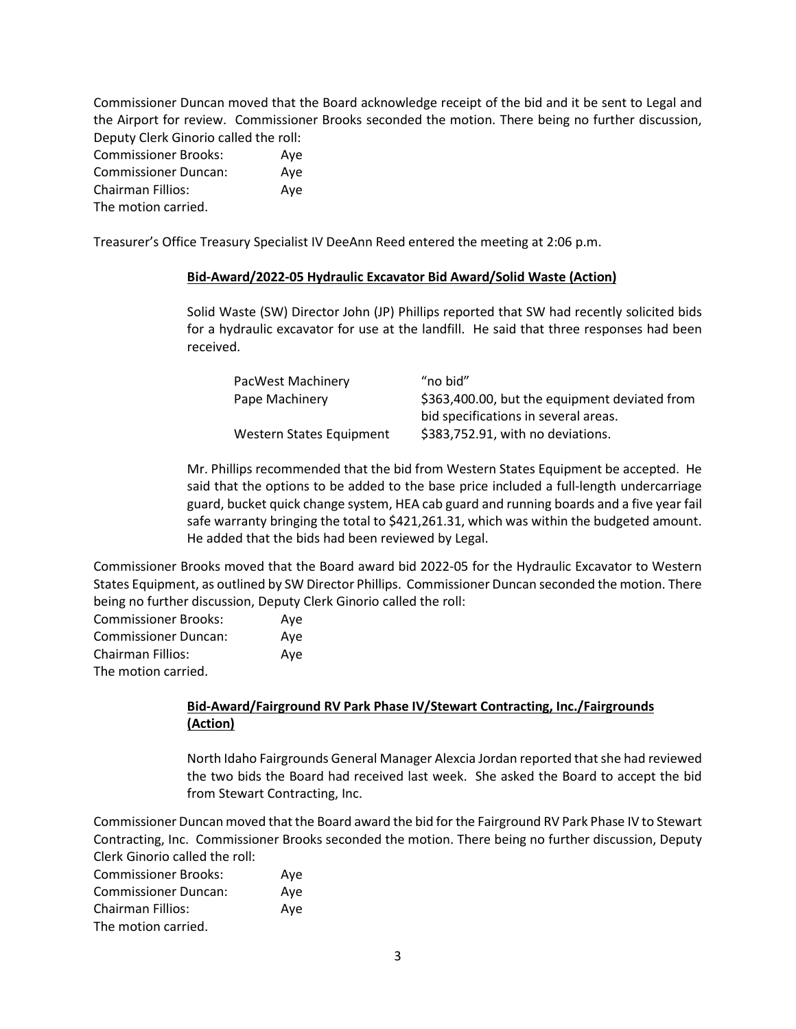Commissioner Duncan moved that the Board acknowledge receipt of the bid and it be sent to Legal and the Airport for review. Commissioner Brooks seconded the motion. There being no further discussion, Deputy Clerk Ginorio called the roll:

| <b>Commissioner Brooks:</b> | Ave |
|-----------------------------|-----|
| <b>Commissioner Duncan:</b> | Ave |
| <b>Chairman Fillios:</b>    | Ave |
| The motion carried.         |     |

Treasurer's Office Treasury Specialist IV DeeAnn Reed entered the meeting at 2:06 p.m.

#### **Bid-Award/2022-05 Hydraulic Excavator Bid Award/Solid Waste (Action)**

Solid Waste (SW) Director John (JP) Phillips reported that SW had recently solicited bids for a hydraulic excavator for use at the landfill. He said that three responses had been received.

| <b>PacWest Machinery</b> | "no bid"                                                                              |
|--------------------------|---------------------------------------------------------------------------------------|
| Pape Machinery           | \$363,400.00, but the equipment deviated from<br>bid specifications in several areas. |
| Western States Equipment | \$383,752.91, with no deviations.                                                     |

Mr. Phillips recommended that the bid from Western States Equipment be accepted. He said that the options to be added to the base price included a full-length undercarriage guard, bucket quick change system, HEA cab guard and running boards and a five year fail safe warranty bringing the total to \$421,261.31, which was within the budgeted amount. He added that the bids had been reviewed by Legal.

Commissioner Brooks moved that the Board award bid 2022-05 for the Hydraulic Excavator to Western States Equipment, as outlined by SW Director Phillips. Commissioner Duncan seconded the motion. There being no further discussion, Deputy Clerk Ginorio called the roll:

| <b>Commissioner Brooks:</b> | Ave |
|-----------------------------|-----|
| <b>Commissioner Duncan:</b> | Ave |
| Chairman Fillios:           | Ave |
| The motion carried.         |     |

## **Bid-Award/Fairground RV Park Phase IV/Stewart Contracting, Inc./Fairgrounds (Action)**

North Idaho Fairgrounds General Manager Alexcia Jordan reported that she had reviewed the two bids the Board had received last week. She asked the Board to accept the bid from Stewart Contracting, Inc.

Commissioner Duncan moved that the Board award the bid for the Fairground RV Park Phase IV to Stewart Contracting, Inc. Commissioner Brooks seconded the motion. There being no further discussion, Deputy Clerk Ginorio called the roll:

| <b>Commissioner Brooks:</b> | Aye |
|-----------------------------|-----|
| <b>Commissioner Duncan:</b> | Ave |
| <b>Chairman Fillios:</b>    | Ave |
| The motion carried.         |     |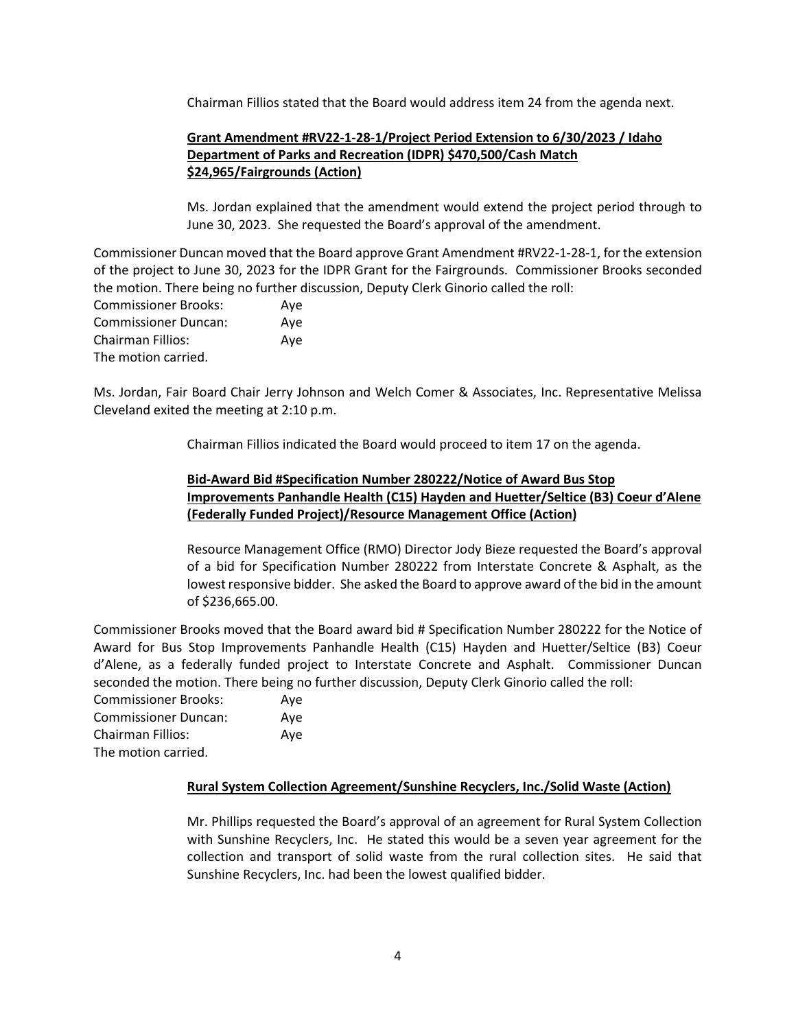Chairman Fillios stated that the Board would address item 24 from the agenda next.

## **Grant Amendment #RV22-1-28-1/Project Period Extension to 6/30/2023 / Idaho Department of Parks and Recreation (IDPR) \$470,500/Cash Match \$24,965/Fairgrounds (Action)**

Ms. Jordan explained that the amendment would extend the project period through to June 30, 2023. She requested the Board's approval of the amendment.

Commissioner Duncan moved that the Board approve Grant Amendment #RV22-1-28-1, for the extension of the project to June 30, 2023 for the IDPR Grant for the Fairgrounds. Commissioner Brooks seconded the motion. There being no further discussion, Deputy Clerk Ginorio called the roll:

| <b>Commissioner Brooks:</b> | Aye |
|-----------------------------|-----|
| <b>Commissioner Duncan:</b> | Ave |
| <b>Chairman Fillios:</b>    | Aye |
| The motion carried.         |     |

Ms. Jordan, Fair Board Chair Jerry Johnson and Welch Comer & Associates, Inc. Representative Melissa Cleveland exited the meeting at 2:10 p.m.

Chairman Fillios indicated the Board would proceed to item 17 on the agenda.

## **Bid-Award Bid #Specification Number 280222/Notice of Award Bus Stop Improvements Panhandle Health (C15) Hayden and Huetter/Seltice (B3) Coeur d'Alene (Federally Funded Project)/Resource Management Office (Action)**

Resource Management Office (RMO) Director Jody Bieze requested the Board's approval of a bid for Specification Number 280222 from Interstate Concrete & Asphalt, as the lowest responsive bidder. She asked the Board to approve award of the bid in the amount of \$236,665.00.

Commissioner Brooks moved that the Board award bid # Specification Number 280222 for the Notice of Award for Bus Stop Improvements Panhandle Health (C15) Hayden and Huetter/Seltice (B3) Coeur d'Alene, as a federally funded project to Interstate Concrete and Asphalt. Commissioner Duncan seconded the motion. There being no further discussion, Deputy Clerk Ginorio called the roll:

| <b>Commissioner Brooks:</b> | Ave |
|-----------------------------|-----|
| <b>Commissioner Duncan:</b> | Ave |
| <b>Chairman Fillios:</b>    | Ave |
| The motion carried.         |     |

#### **Rural System Collection Agreement/Sunshine Recyclers, Inc./Solid Waste (Action)**

Mr. Phillips requested the Board's approval of an agreement for Rural System Collection with Sunshine Recyclers, Inc. He stated this would be a seven year agreement for the collection and transport of solid waste from the rural collection sites. He said that Sunshine Recyclers, Inc. had been the lowest qualified bidder.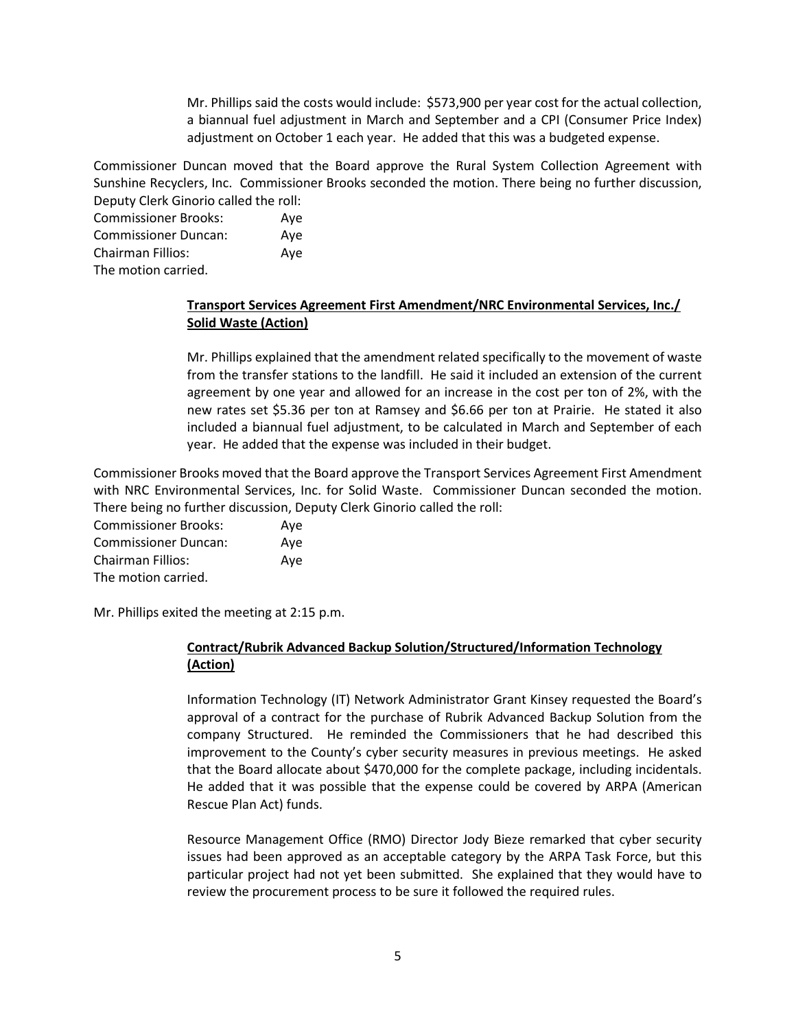Mr. Phillips said the costs would include: \$573,900 per year cost for the actual collection, a biannual fuel adjustment in March and September and a CPI (Consumer Price Index) adjustment on October 1 each year. He added that this was a budgeted expense.

Commissioner Duncan moved that the Board approve the Rural System Collection Agreement with Sunshine Recyclers, Inc. Commissioner Brooks seconded the motion. There being no further discussion, Deputy Clerk Ginorio called the roll:

Commissioner Brooks: Aye Commissioner Duncan: Aye Chairman Fillios: Aye The motion carried.

## **Transport Services Agreement First Amendment/NRC Environmental Services, Inc./ Solid Waste (Action)**

Mr. Phillips explained that the amendment related specifically to the movement of waste from the transfer stations to the landfill. He said it included an extension of the current agreement by one year and allowed for an increase in the cost per ton of 2%, with the new rates set \$5.36 per ton at Ramsey and \$6.66 per ton at Prairie. He stated it also included a biannual fuel adjustment, to be calculated in March and September of each year. He added that the expense was included in their budget.

Commissioner Brooks moved that the Board approve the Transport Services Agreement First Amendment with NRC Environmental Services, Inc. for Solid Waste. Commissioner Duncan seconded the motion. There being no further discussion, Deputy Clerk Ginorio called the roll:

Commissioner Brooks: Aye Commissioner Duncan: Aye Chairman Fillios: Aye The motion carried.

Mr. Phillips exited the meeting at 2:15 p.m.

## **Contract/Rubrik Advanced Backup Solution/Structured/Information Technology (Action)**

Information Technology (IT) Network Administrator Grant Kinsey requested the Board's approval of a contract for the purchase of Rubrik Advanced Backup Solution from the company Structured. He reminded the Commissioners that he had described this improvement to the County's cyber security measures in previous meetings. He asked that the Board allocate about \$470,000 for the complete package, including incidentals. He added that it was possible that the expense could be covered by ARPA (American Rescue Plan Act) funds.

Resource Management Office (RMO) Director Jody Bieze remarked that cyber security issues had been approved as an acceptable category by the ARPA Task Force, but this particular project had not yet been submitted. She explained that they would have to review the procurement process to be sure it followed the required rules.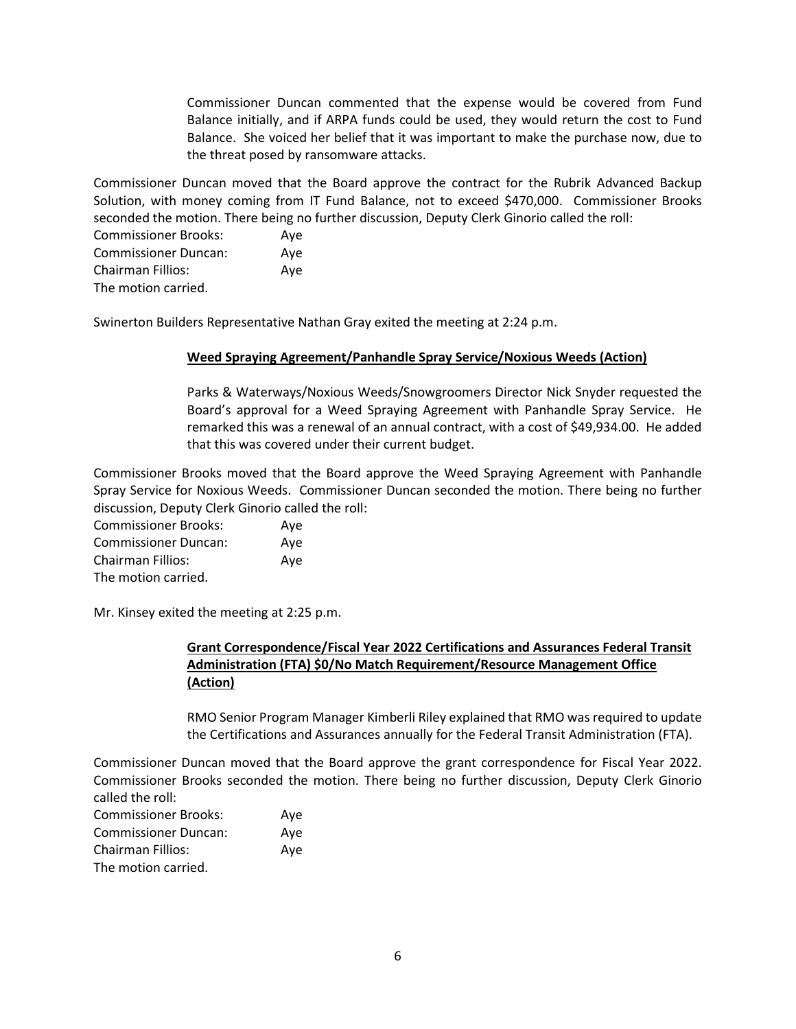Commissioner Duncan commented that the expense would be covered from Fund Balance initially, and if ARPA funds could be used, they would return the cost to Fund Balance. She voiced her belief that it was important to make the purchase now, due to the threat posed by ransomware attacks.

Commissioner Duncan moved that the Board approve the contract for the Rubrik Advanced Backup Solution, with money coming from IT Fund Balance, not to exceed \$470,000. Commissioner Brooks seconded the motion. There being no further discussion, Deputy Clerk Ginorio called the roll:

Commissioner Brooks: Aye Commissioner Duncan: Aye Chairman Fillios: Aye The motion carried.

Swinerton Builders Representative Nathan Gray exited the meeting at 2:24 p.m.

## **Weed Spraying Agreement/Panhandle Spray Service/Noxious Weeds (Action)**

Parks & Waterways/Noxious Weeds/Snowgroomers Director Nick Snyder requested the Board's approval for a Weed Spraying Agreement with Panhandle Spray Service. He remarked this was a renewal of an annual contract, with a cost of \$49,934.00. He added that this was covered under their current budget.

Commissioner Brooks moved that the Board approve the Weed Spraying Agreement with Panhandle Spray Service for Noxious Weeds. Commissioner Duncan seconded the motion. There being no further discussion, Deputy Clerk Ginorio called the roll:

Commissioner Brooks: Aye Commissioner Duncan: Aye Chairman Fillios: Aye The motion carried.

Mr. Kinsey exited the meeting at 2:25 p.m.

## **Grant Correspondence/Fiscal Year 2022 Certifications and Assurances Federal Transit Administration (FTA) \$0/No Match Requirement/Resource Management Office (Action)**

RMO Senior Program Manager Kimberli Riley explained that RMO was required to update the Certifications and Assurances annually for the Federal Transit Administration (FTA).

Commissioner Duncan moved that the Board approve the grant correspondence for Fiscal Year 2022. Commissioner Brooks seconded the motion. There being no further discussion, Deputy Clerk Ginorio called the roll:

| <b>Commissioner Brooks:</b> | Ave |
|-----------------------------|-----|
| <b>Commissioner Duncan:</b> | Ave |
| Chairman Fillios:           | Ave |
| The motion carried.         |     |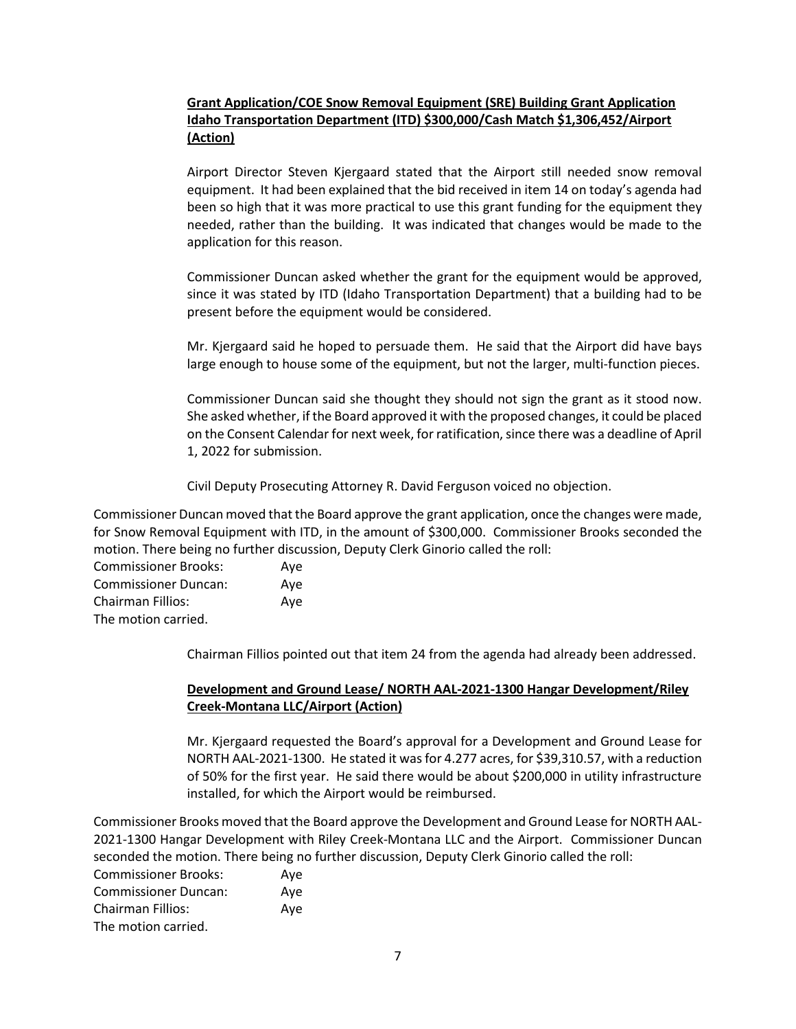# **Grant Application/COE Snow Removal Equipment (SRE) Building Grant Application Idaho Transportation Department (ITD) \$300,000/Cash Match \$1,306,452/Airport (Action)**

Airport Director Steven Kjergaard stated that the Airport still needed snow removal equipment. It had been explained that the bid received in item 14 on today's agenda had been so high that it was more practical to use this grant funding for the equipment they needed, rather than the building. It was indicated that changes would be made to the application for this reason.

Commissioner Duncan asked whether the grant for the equipment would be approved, since it was stated by ITD (Idaho Transportation Department) that a building had to be present before the equipment would be considered.

Mr. Kjergaard said he hoped to persuade them. He said that the Airport did have bays large enough to house some of the equipment, but not the larger, multi-function pieces.

Commissioner Duncan said she thought they should not sign the grant as it stood now. She asked whether, if the Board approved it with the proposed changes, it could be placed on the Consent Calendar for next week, for ratification, since there was a deadline of April 1, 2022 for submission.

Civil Deputy Prosecuting Attorney R. David Ferguson voiced no objection.

Commissioner Duncan moved that the Board approve the grant application, once the changes were made, for Snow Removal Equipment with ITD, in the amount of \$300,000. Commissioner Brooks seconded the motion. There being no further discussion, Deputy Clerk Ginorio called the roll:

| <b>Commissioner Brooks:</b> | Ave |
|-----------------------------|-----|
| <b>Commissioner Duncan:</b> | Ave |
| <b>Chairman Fillios:</b>    | Ave |
| The motion carried.         |     |

Chairman Fillios pointed out that item 24 from the agenda had already been addressed.

## **Development and Ground Lease/ NORTH AAL-2021-1300 Hangar Development/Riley Creek-Montana LLC/Airport (Action)**

Mr. Kjergaard requested the Board's approval for a Development and Ground Lease for NORTH AAL-2021-1300. He stated it was for 4.277 acres, for \$39,310.57, with a reduction of 50% for the first year. He said there would be about \$200,000 in utility infrastructure installed, for which the Airport would be reimbursed.

Commissioner Brooks moved that the Board approve the Development and Ground Lease for NORTH AAL-2021-1300 Hangar Development with Riley Creek-Montana LLC and the Airport. Commissioner Duncan seconded the motion. There being no further discussion, Deputy Clerk Ginorio called the roll:

| <b>Commissioner Brooks:</b> | Ave |
|-----------------------------|-----|
| <b>Commissioner Duncan:</b> | Ave |
| <b>Chairman Fillios:</b>    | Ave |
| The motion carried.         |     |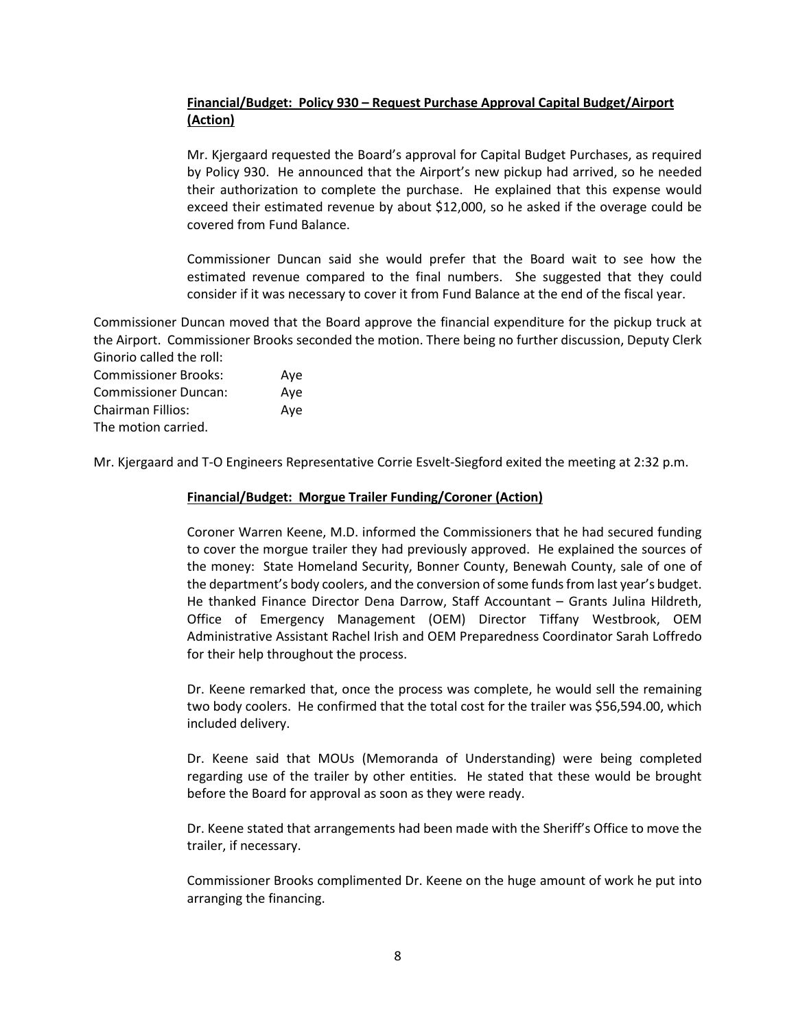# **Financial/Budget: Policy 930 – Request Purchase Approval Capital Budget/Airport (Action)**

Mr. Kjergaard requested the Board's approval for Capital Budget Purchases, as required by Policy 930. He announced that the Airport's new pickup had arrived, so he needed their authorization to complete the purchase. He explained that this expense would exceed their estimated revenue by about \$12,000, so he asked if the overage could be covered from Fund Balance.

Commissioner Duncan said she would prefer that the Board wait to see how the estimated revenue compared to the final numbers. She suggested that they could consider if it was necessary to cover it from Fund Balance at the end of the fiscal year.

Commissioner Duncan moved that the Board approve the financial expenditure for the pickup truck at the Airport. Commissioner Brooks seconded the motion. There being no further discussion, Deputy Clerk Ginorio called the roll:

Commissioner Brooks: Aye Commissioner Duncan: Aye Chairman Fillios: Aye The motion carried.

Mr. Kjergaard and T-O Engineers Representative Corrie Esvelt-Siegford exited the meeting at 2:32 p.m.

#### **Financial/Budget: Morgue Trailer Funding/Coroner (Action)**

Coroner Warren Keene, M.D. informed the Commissioners that he had secured funding to cover the morgue trailer they had previously approved. He explained the sources of the money: State Homeland Security, Bonner County, Benewah County, sale of one of the department's body coolers, and the conversion of some funds from last year's budget. He thanked Finance Director Dena Darrow, Staff Accountant – Grants Julina Hildreth, Office of Emergency Management (OEM) Director Tiffany Westbrook, OEM Administrative Assistant Rachel Irish and OEM Preparedness Coordinator Sarah Loffredo for their help throughout the process.

Dr. Keene remarked that, once the process was complete, he would sell the remaining two body coolers. He confirmed that the total cost for the trailer was \$56,594.00, which included delivery.

Dr. Keene said that MOUs (Memoranda of Understanding) were being completed regarding use of the trailer by other entities. He stated that these would be brought before the Board for approval as soon as they were ready.

Dr. Keene stated that arrangements had been made with the Sheriff's Office to move the trailer, if necessary.

Commissioner Brooks complimented Dr. Keene on the huge amount of work he put into arranging the financing.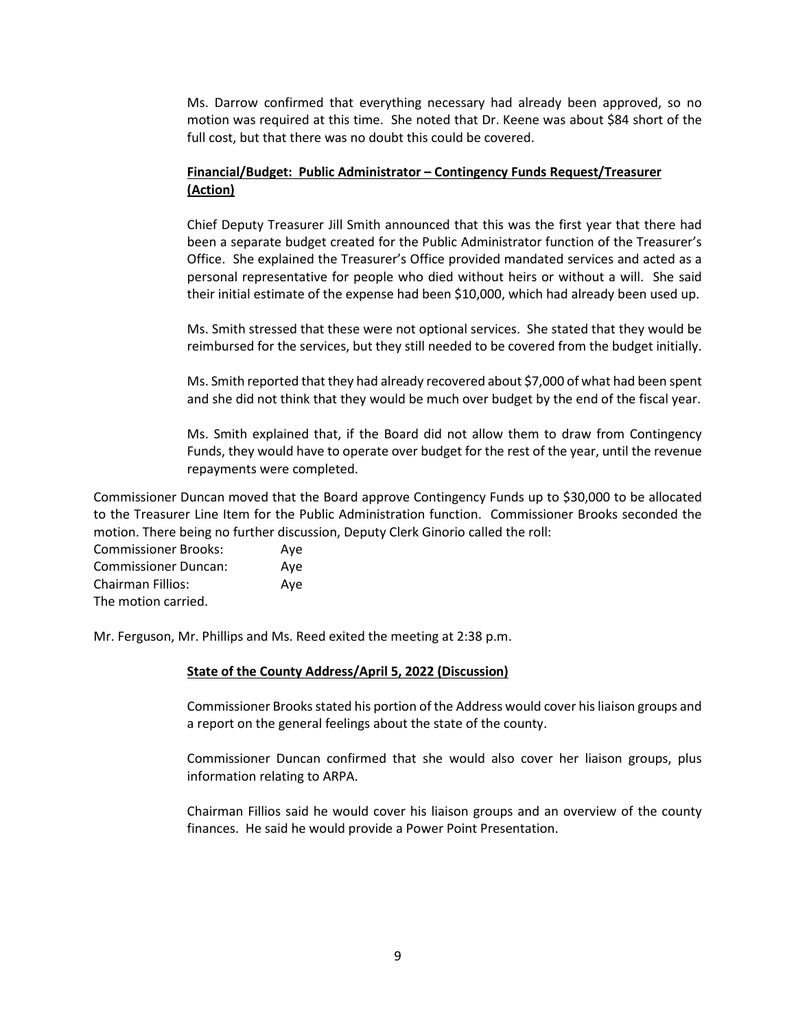Ms. Darrow confirmed that everything necessary had already been approved, so no motion was required at this time. She noted that Dr. Keene was about \$84 short of the full cost, but that there was no doubt this could be covered.

# **Financial/Budget: Public Administrator – Contingency Funds Request/Treasurer (Action)**

Chief Deputy Treasurer Jill Smith announced that this was the first year that there had been a separate budget created for the Public Administrator function of the Treasurer's Office. She explained the Treasurer's Office provided mandated services and acted as a personal representative for people who died without heirs or without a will. She said their initial estimate of the expense had been \$10,000, which had already been used up.

Ms. Smith stressed that these were not optional services. She stated that they would be reimbursed for the services, but they still needed to be covered from the budget initially.

Ms. Smith reported that they had already recovered about \$7,000 of what had been spent and she did not think that they would be much over budget by the end of the fiscal year.

Ms. Smith explained that, if the Board did not allow them to draw from Contingency Funds, they would have to operate over budget for the rest of the year, until the revenue repayments were completed.

Commissioner Duncan moved that the Board approve Contingency Funds up to \$30,000 to be allocated to the Treasurer Line Item for the Public Administration function. Commissioner Brooks seconded the motion. There being no further discussion, Deputy Clerk Ginorio called the roll:

| <b>Commissioner Brooks:</b> | Aye |
|-----------------------------|-----|
| <b>Commissioner Duncan:</b> | Ave |
| <b>Chairman Fillios:</b>    | Ave |
| The motion carried.         |     |

Mr. Ferguson, Mr. Phillips and Ms. Reed exited the meeting at 2:38 p.m.

#### **State of the County Address/April 5, 2022 (Discussion)**

Commissioner Brooks stated his portion of the Address would cover his liaison groups and a report on the general feelings about the state of the county.

Commissioner Duncan confirmed that she would also cover her liaison groups, plus information relating to ARPA.

Chairman Fillios said he would cover his liaison groups and an overview of the county finances. He said he would provide a Power Point Presentation.